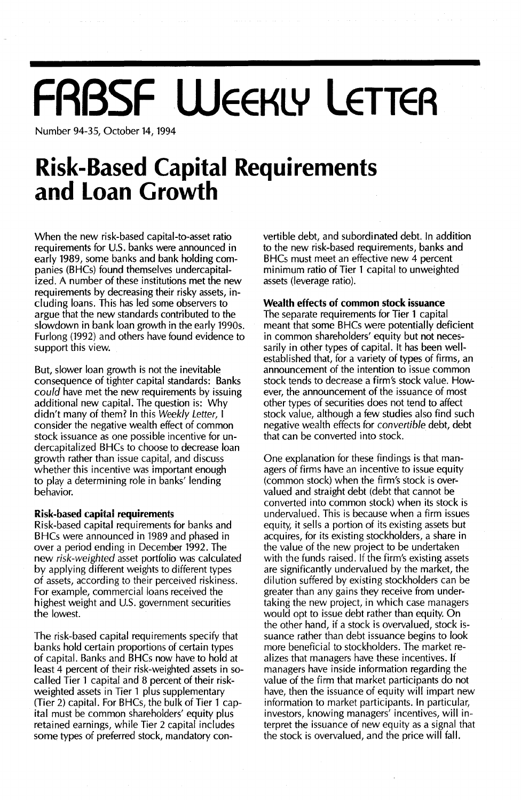# **FRBSF WEEKLY LETTER**

Number 94-35, October 14, 1994

## **Risk-Based Capital Requirements and Loan Growth**

When the new risk-based capital-to-asset ratio requirements for U.S. banks were announced in early 1989, some banks and bank holding companies (BHCs) found themselves undercapitalized. A number of these institutions met the new requirements by decreasing their risky assets, including loans. This has led some observers to argue that the new standards contributed to the slowdown in bank loan growth in the early 1990s. Furlong (1992) and others have found evidence to support this view.

But, slower loan growth is not the inevitable consequence of tighter capital standards: Banks *could* have met the new requirements by issuing additional new capital. The question is: Why didn't many of them? In this *Weekly Letter,* I consider the negative wealth effect of common stock issuance as one possible incentive for undercapitalized BHCs to choose to decrease loan growth rather than issue capital, and discuss whether this incentive was important enough to *playa* determining role in banks' lending behavior.

#### **Risk-based capiial requiremenis**

Risk-based capital requirements for banks and BHCs were announced in 1989 and phased in over a period ending in December 1992. The new *risk-weighted* asset portfolio was calculated by applying different weights to different types of assets, according to their perceived riskiness. For example, commercial loans received the highest weight and U.S. government securities the lowest.

The risk-based capital requirements specify that banks hold certain proportions of certain types of capital. Banks and BHCs now have to hold at least 4 percent of their risk-weighted assets in socalled Tier 1 capital and 8 percent of their riskweighted assets in Tier 1 plus supplementary (Tier 2) capital. For BHCs, the bulk of Tier 1 capital must be common shareholders' equity plus retained earnings, while Tier 2 capital includes some types of preferred stock, *mandatory* convertible debt, and subordinated debt. In addition to the new risk-based requirements, banks and BHCs must meet an effective new 4 percent minimum ratio of Tier 1 capital to unweighted assets (leverage ratio).

#### **Wealth effects of common stock issuance**

The separate requirements for Tier 1 capital meant that some BHCs were potentially deficient in common shareholders' equity but not necessarily in other types of capital. It has been wellestablished that, for a variety of types of firms, an announcement of the intention to issue common stock tends to decrease a firm's stock value. However, the announcement of the issuance of most other types of securities does not tend to affect stock value, although a few studies also find such negative wealth effects for *convertible* debt, debt that can be converted into stock.

One explanation for these findings is that managers of firms have an incentive to issue equity (common stock) when the firm's stock is overvalued and straight debt (debt that cannot be converted into common stock) when its stock is undervalued. This is because when a firm issues equity, it sells a portion of its existing assets but acquires, for its existing stockholders, a share in the value of the new project to be undertaken with the funds raised. If the firm's existing assets are significantly undervalued by the market, the dilution suffered by existing stockholders can be greater than any gains they receive from undertaking the new project, in which case managers would opt to issue debt rather than equity. On the other hand, if a stock is overvalued, stock issuance rather than debt issuance begins to look more beneficial to stockholders. The market realizes that managers have these incentives. If managers have inside information regarding the value of the firm that market participants do not have, then the issuance of equity will impart new information to market participants. In particular, investors, knowing managers' incentives, will interpret the issuance of new equity as a signal that the stock is overvalued, and the price will fall.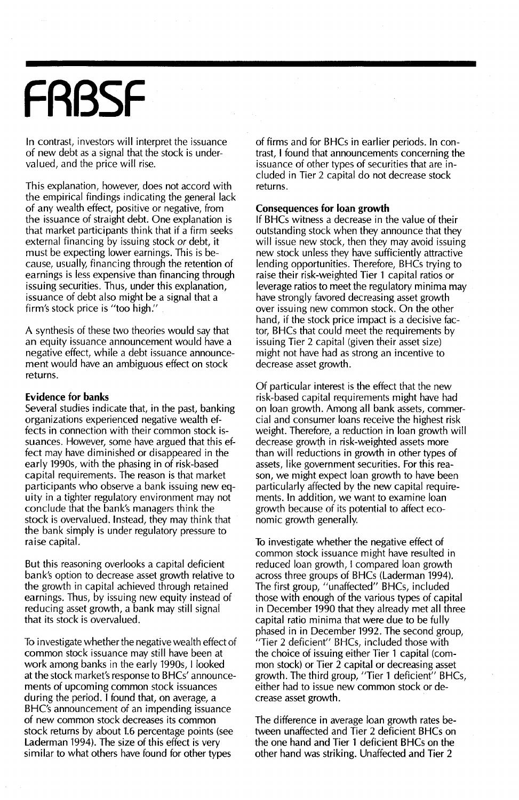## **FABSF**

In contrast, investors will interpret the issuance of new debt as a signal that the stock is undervalued, and the price will rise.

This explanation, however, does not accord with the empirical findings indicating the general lack of any wealth effect, positive or negative, from the issuance of straight debt. One explanation is that market participants think that if a firm seeks external financing by issuing stock or debt, it must be expecting lower earnings. This is because, usually, financing through the retention of earnings is less expensive than financing through issuing securities. Thus, under this explanation, issuance of debt also might be a signal that a firm's stock price is "too high."

A synthesis of these two theories would say that an equity issuance announcement would have a negative effect, while a debt issuance announcement would have an ambiguous effect on stock returns.

#### **Evidence for banks**

Several studies indicate that, in the past, banking organizations experienced negative wealth effects in connection with their common stock issuances. However, some have argued that this effect may have diminished or disappeared in the early 1990s, with the phasing in of risk-based capital requirements. The reason is that market participants who observe a bank issuing new equity in a tighter regulatory environment may not conclude that the bank's managers think the stock is overvalued. Instead, they may think that the bank simply is under regulatory pressure to raise capital.

But this reasoning overlooks a capital deficient bank's option to decrease asset growth relative to the growth in capital achieved through retained earnings. Thus, by issuing new equity instead of reducing asset growth, a bank may still signal that its stock is overvalued.

**To investigate vvhethei the negative vvealth effect of** common stock issuance may still have been at work among banks in the early 1990s, I looked at the stock market's response to BHCs' announcements of upcoming common stock issuances during the period. I found that, on average, a BHC's announcement of an impending issuance of new common stock decreases its common stock returns by about 1.6 percentage points (see Laderman 1994). The size of this effect is very similar to what others have found for other types

of firms and for BHCs in earlier periods. In contrast, I found that announcements concerning the issuance of other types of securities that are included in Tier 2 capital do not decrease stock returns.

#### **Consequences for loan growth**

If BHCs witness a decrease in the value of their outstanding stock when they announce that they will issue new stock, then they may avoid issuing new stock unless they have sufficiently attractive lending opportunities. Therefore, BHCs trying to raise their risk-weighted Tier 1 capital ratios or leverage ratios to meet the regulatory minima may have strongly favored decreasing asset growth over issuing new common stock. On the other hand, if the stock price impact is a decisive factor, BHCs that could meet the requirements by issuing Tier 2 capital (given their asset size) might not have had as strong an incentive to decrease asset growth.

Of particular interest is the effect that the new risk-based capital requirements might have had on loan growth. Among all bank assets, commercial and consumer loans receive the highest risk weight. Therefore, a reduction in loan growth will decrease growth in risk-weighted assets more than will reductions in growth in other types of assets, like government securities. For this reason, we might expect loan growth to have been particularly affected by the new capital requirements. In addition, we want to examine loan growth because of its potential to affect economic growth generally.

To investigate whether the negative effect of common stock issuance might have resulted in reduced loan growth, I compared loan growth across three groups of BHCs (Laderman 1994). The first group, "unaffected" BHCs, included those with enough of the various types of capital in December 1990 that they already met all three capital ratio minima that were due to be fully phased in in December 1992. The second group, **"Tiei 2 deficient" BHes, included those with** the choice of issuing either Tier 1 capital (common stock) or Tier 2 capital or decreasing asset growth. The third group, "Tier 1 deficient" BHCs, either had to issue new common stock or decrease asset growth.

The difference in average loan growth rates between unaffected and Tier 2 deficient BHCs on the one hand and Tier 1 deficient SHCs on the other hand was striking. Unaffected and Tier 2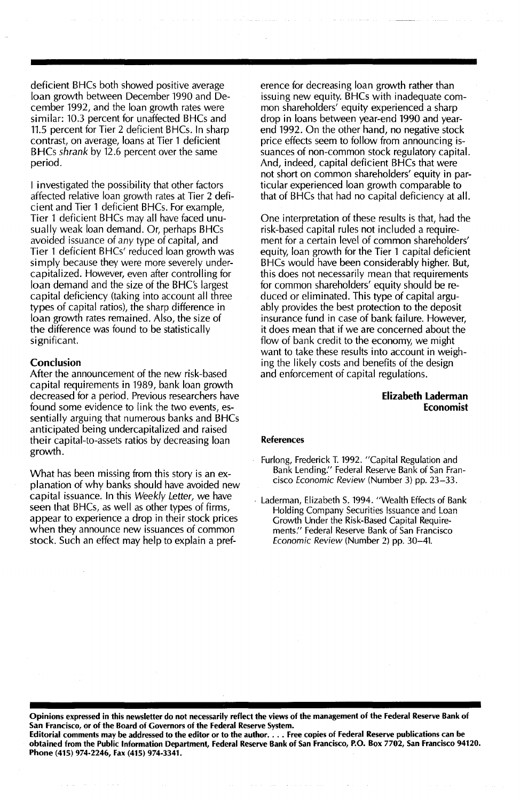deficient BHCs both showed positive average loan growth between December 1990 and December 1992, and the loan growth rates were similar: 10.3 percent for unaffected BHCs and 11.5 percent for Tier 2 deficient BHCs. In sharp contrast, on average, loans at Tier 1 deficient BHCs *shrank* by 12.6 percent over the same period.

I investigated the possibility that other factors affected relative loan growth rates at Tier 2 deficient and Tier 1 deficient BHCs. For example, Tier 1 deficient BHCs may all have faced unusually weak loan demand. Or, perhaps BHCs avoided issuance of *any* type of capital, and Tier 1 deficient BHCs' reduced loan growth was simply because they were more severely undercapitalized. However, even after controlling for loan demand and the size of the BHC's largest capital deficiency (taking into account all three types of capital ratios), the sharp difference in loan growth rates remained. Also, the size of the difference was found to be statistically significant.

#### **Conclusion**

After the announcement of the new risk-based capital requirements in 1989, bank loan growth decreased for a period. Previous researchers have found some evidence to link the two events, essentially arguing that numerous banks and BHCs anticipated being undercapitalized and raised their capital-to-assets ratios by decreasing loan growth.

What has been missing from this story is an explanation of why banks should have avoided new capital issuance. In this *Weekly Letter,* we have seen that BHCs, as well as other types of firms, appear to experience a drop in their stock prices when they announce new issuances of common stock. Such an effect may help to explain a preference for decreasing loan growth rather than issuing new equity. BHCs with inadequate common shareholders' equity experienced a sharp drop in loans between year-end 1990 and yearend 1992. On the other hand, no negative stock price effects seem to follow from announcing issuances of non-common stock regulatory capital. And, indeed, capital deficient BHCs that were not short on common shareholders' equity in particular experienced loan growth comparable to that of BHCs that had no capital deficiency at all.

One interpretation of these results is that, had the risk-based capital rules not included a requirement for a certain level of common shareholders' equity, loan growth for the Tier 1 capital deficient BHCs would have been considerably higher. But, this does not necessarily mean that requirements for common shareholders' equity should be reduced or eliminated. This type of capital arguably provides the best protection to the deposit insurance fund in case of bank failure. However, it does mean that if we are concerned about the flow of bank credit to the economy, we might want to take these results into account in weighing the likely costs and benefits of the design and enforcement of capital regulations.

#### Elizabeth Laderman Economist

#### References

- Furlong, Frederick T. 1992. "Capital Regulation and Bank Lending:' Federal Reserve Bank of San Francisco *Economic Review* (Number 3) pp. 23-33.
- . Laderman, Elizabeth S. 1994. "Wealth Effects of Bank Holding Company Securities Issuance and Loan Growth Under the Risk-Based Capital Requirements." Federal Reserve Bank of San Francisco *Economic Review* (Number 2) pp. 30-41.

Opinions expressed in this newsletter do not necessarily reflect the views of the management of the Federal Reserve Bank of San Francisco, or of the Board of Governors of the Federal Reserve System.

Editorial comments may be addressed to the editor or to the author.... Free copies of Federal Reserve publications can be obtained from the Public Information Department, Federal Reserve Bank of San Francisco, P.O. Box 7702, San Francisco 94120. Phone (415) 974-2246, Fax (415) 974-3341.